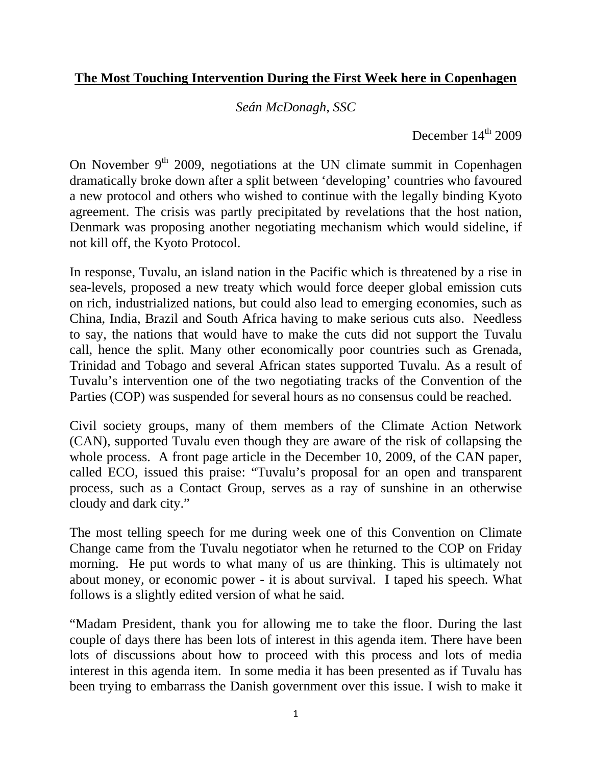## **The Most Touching Intervention During the First Week here in Copenhagen**

*Seán McDonagh, SSC* 

December  $14<sup>th</sup>$  2009

On November  $9<sup>th</sup>$  2009, negotiations at the UN climate summit in Copenhagen dramatically broke down after a split between 'developing' countries who favoured a new protocol and others who wished to continue with the legally binding Kyoto agreement. The crisis was partly precipitated by revelations that the host nation, Denmark was proposing another negotiating mechanism which would sideline, if not kill off, the Kyoto Protocol.

In response, Tuvalu, an island nation in the Pacific which is threatened by a rise in sea-levels, proposed a new treaty which would force deeper global emission cuts on rich, industrialized nations, but could also lead to emerging economies, such as China, India, Brazil and South Africa having to make serious cuts also. Needless to say, the nations that would have to make the cuts did not support the Tuvalu call, hence the split. Many other economically poor countries such as Grenada, Trinidad and Tobago and several African states supported Tuvalu. As a result of Tuvalu's intervention one of the two negotiating tracks of the Convention of the Parties (COP) was suspended for several hours as no consensus could be reached.

Civil society groups, many of them members of the Climate Action Network (CAN), supported Tuvalu even though they are aware of the risk of collapsing the whole process. A front page article in the December 10, 2009, of the CAN paper, called ECO, issued this praise: "Tuvalu's proposal for an open and transparent process, such as a Contact Group, serves as a ray of sunshine in an otherwise cloudy and dark city."

The most telling speech for me during week one of this Convention on Climate Change came from the Tuvalu negotiator when he returned to the COP on Friday morning. He put words to what many of us are thinking. This is ultimately not about money, or economic power - it is about survival. I taped his speech. What follows is a slightly edited version of what he said.

"Madam President, thank you for allowing me to take the floor. During the last couple of days there has been lots of interest in this agenda item. There have been lots of discussions about how to proceed with this process and lots of media interest in this agenda item. In some media it has been presented as if Tuvalu has been trying to embarrass the Danish government over this issue. I wish to make it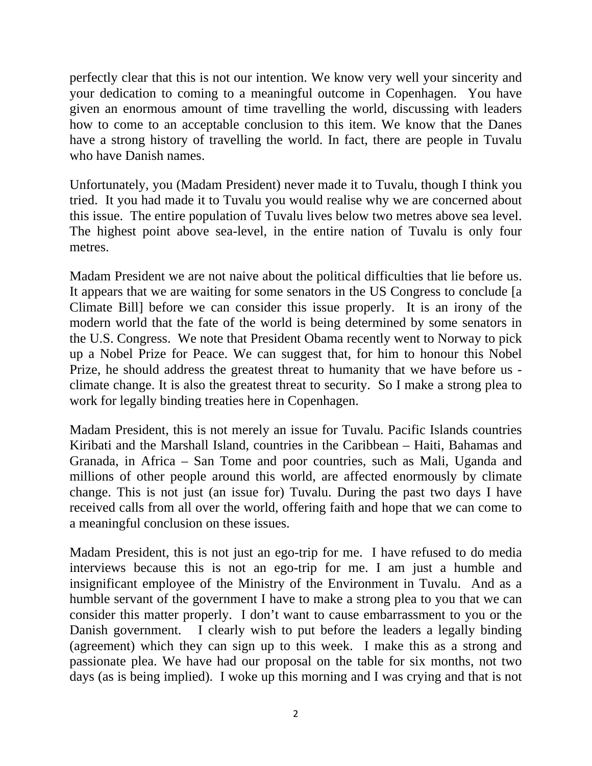perfectly clear that this is not our intention. We know very well your sincerity and your dedication to coming to a meaningful outcome in Copenhagen. You have given an enormous amount of time travelling the world, discussing with leaders how to come to an acceptable conclusion to this item. We know that the Danes have a strong history of travelling the world. In fact, there are people in Tuvalu who have Danish names.

Unfortunately, you (Madam President) never made it to Tuvalu, though I think you tried. It you had made it to Tuvalu you would realise why we are concerned about this issue. The entire population of Tuvalu lives below two metres above sea level. The highest point above sea-level, in the entire nation of Tuvalu is only four metres.

Madam President we are not naive about the political difficulties that lie before us. It appears that we are waiting for some senators in the US Congress to conclude [a Climate Bill] before we can consider this issue properly. It is an irony of the modern world that the fate of the world is being determined by some senators in the U.S. Congress. We note that President Obama recently went to Norway to pick up a Nobel Prize for Peace. We can suggest that, for him to honour this Nobel Prize, he should address the greatest threat to humanity that we have before us climate change. It is also the greatest threat to security. So I make a strong plea to work for legally binding treaties here in Copenhagen.

Madam President, this is not merely an issue for Tuvalu. Pacific Islands countries Kiribati and the Marshall Island, countries in the Caribbean – Haiti, Bahamas and Granada, in Africa – San Tome and poor countries, such as Mali, Uganda and millions of other people around this world, are affected enormously by climate change. This is not just (an issue for) Tuvalu. During the past two days I have received calls from all over the world, offering faith and hope that we can come to a meaningful conclusion on these issues.

Madam President, this is not just an ego-trip for me. I have refused to do media interviews because this is not an ego-trip for me. I am just a humble and insignificant employee of the Ministry of the Environment in Tuvalu. And as a humble servant of the government I have to make a strong plea to you that we can consider this matter properly. I don't want to cause embarrassment to you or the Danish government. I clearly wish to put before the leaders a legally binding (agreement) which they can sign up to this week. I make this as a strong and passionate plea. We have had our proposal on the table for six months, not two days (as is being implied). I woke up this morning and I was crying and that is not